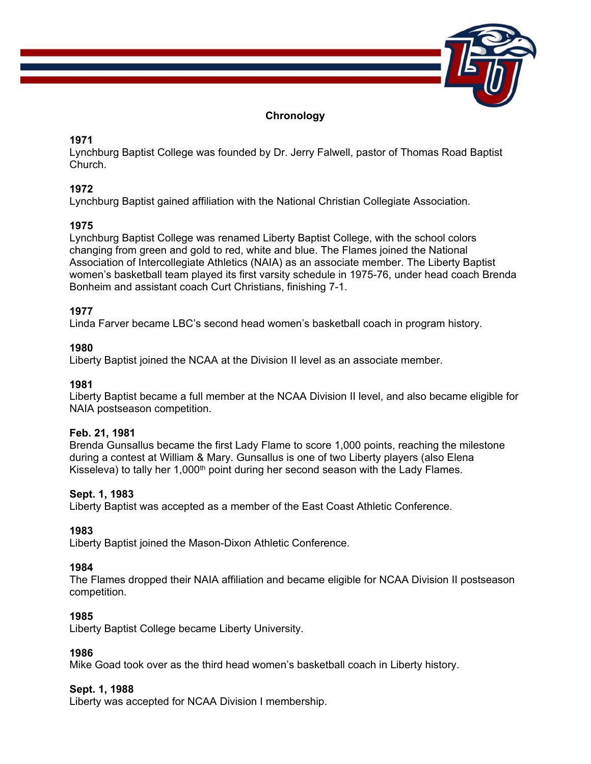

# **Chronology**

# **1971**

Lynchburg Baptist College was founded by Dr. Jerry Falwell, pastor of Thomas Road Baptist Church.

# **1972**

Lynchburg Baptist gained affiliation with the National Christian Collegiate Association.

# **1975**

Lynchburg Baptist College was renamed Liberty Baptist College, with the school colors changing from green and gold to red, white and blue. The Flames joined the National Association of Intercollegiate Athletics (NAIA) as an associate member. The Liberty Baptist women's basketball team played its first varsity schedule in 1975-76, under head coach Brenda Bonheim and assistant coach Curt Christians, finishing 7-1.

# **1977**

Linda Farver became LBC's second head women's basketball coach in program history.

# **1980**

Liberty Baptist joined the NCAA at the Division II level as an associate member.

# **1981**

Liberty Baptist became a full member at the NCAA Division II level, and also became eligible for NAIA postseason competition.

# **Feb. 21, 1981**

Brenda Gunsallus became the first Lady Flame to score 1,000 points, reaching the milestone during a contest at William & Mary. Gunsallus is one of two Liberty players (also Elena Kisseleva) to tally her  $1,000<sup>th</sup>$  point during her second season with the Lady Flames.

# **Sept. 1, 1983**

Liberty Baptist was accepted as a member of the East Coast Athletic Conference.

# **1983**

Liberty Baptist joined the Mason-Dixon Athletic Conference.

# **1984**

The Flames dropped their NAIA affiliation and became eligible for NCAA Division II postseason competition.

# **1985**

Liberty Baptist College became Liberty University.

# **1986**

Mike Goad took over as the third head women's basketball coach in Liberty history.

# **Sept. 1, 1988**

Liberty was accepted for NCAA Division I membership.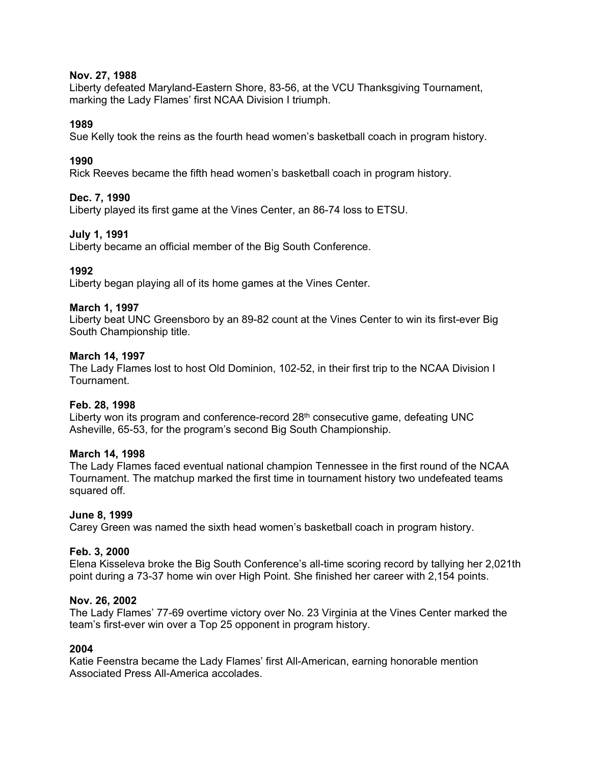### **Nov. 27, 1988**

Liberty defeated Maryland-Eastern Shore, 83-56, at the VCU Thanksgiving Tournament, marking the Lady Flames' first NCAA Division I triumph.

### **1989**

Sue Kelly took the reins as the fourth head women's basketball coach in program history.

### **1990**

Rick Reeves became the fifth head women's basketball coach in program history.

### **Dec. 7, 1990**

Liberty played its first game at the Vines Center, an 86-74 loss to ETSU.

### **July 1, 1991**

Liberty became an official member of the Big South Conference.

# **1992**

Liberty began playing all of its home games at the Vines Center.

### **March 1, 1997**

Liberty beat UNC Greensboro by an 89-82 count at the Vines Center to win its first-ever Big South Championship title.

#### **March 14, 1997**

The Lady Flames lost to host Old Dominion, 102-52, in their first trip to the NCAA Division I Tournament.

#### **Feb. 28, 1998**

Liberty won its program and conference-record  $28<sup>th</sup>$  consecutive game, defeating UNC Asheville, 65-53, for the program's second Big South Championship.

#### **March 14, 1998**

The Lady Flames faced eventual national champion Tennessee in the first round of the NCAA Tournament. The matchup marked the first time in tournament history two undefeated teams squared off.

#### **June 8, 1999**

Carey Green was named the sixth head women's basketball coach in program history.

#### **Feb. 3, 2000**

Elena Kisseleva broke the Big South Conference's all-time scoring record by tallying her 2,021th point during a 73-37 home win over High Point. She finished her career with 2,154 points.

### **Nov. 26, 2002**

The Lady Flames' 77-69 overtime victory over No. 23 Virginia at the Vines Center marked the team's first-ever win over a Top 25 opponent in program history.

#### **2004**

Katie Feenstra became the Lady Flames' first All-American, earning honorable mention Associated Press All-America accolades.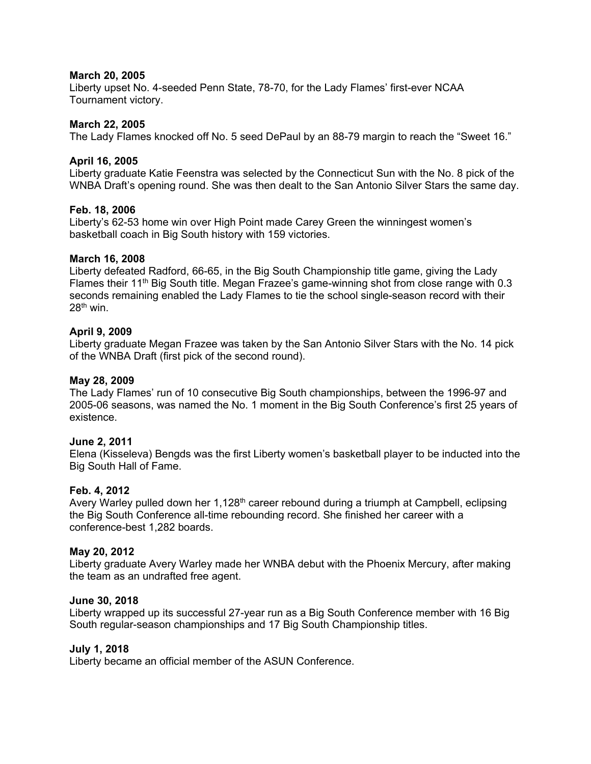#### **March 20, 2005**

Liberty upset No. 4-seeded Penn State, 78-70, for the Lady Flames' first-ever NCAA Tournament victory.

### **March 22, 2005**

The Lady Flames knocked off No. 5 seed DePaul by an 88-79 margin to reach the "Sweet 16."

## **April 16, 2005**

Liberty graduate Katie Feenstra was selected by the Connecticut Sun with the No. 8 pick of the WNBA Draft's opening round. She was then dealt to the San Antonio Silver Stars the same day.

### **Feb. 18, 2006**

Liberty's 62-53 home win over High Point made Carey Green the winningest women's basketball coach in Big South history with 159 victories.

### **March 16, 2008**

Liberty defeated Radford, 66-65, in the Big South Championship title game, giving the Lady Flames their 11<sup>th</sup> Big South title. Megan Frazee's game-winning shot from close range with  $0.3$ seconds remaining enabled the Lady Flames to tie the school single-season record with their  $28<sup>th</sup>$  win.

### **April 9, 2009**

Liberty graduate Megan Frazee was taken by the San Antonio Silver Stars with the No. 14 pick of the WNBA Draft (first pick of the second round).

#### **May 28, 2009**

The Lady Flames' run of 10 consecutive Big South championships, between the 1996-97 and 2005-06 seasons, was named the No. 1 moment in the Big South Conference's first 25 years of existence.

#### **June 2, 2011**

Elena (Kisseleva) Bengds was the first Liberty women's basketball player to be inducted into the Big South Hall of Fame.

#### **Feb. 4, 2012**

Avery Warley pulled down her  $1,128<sup>th</sup>$  career rebound during a triumph at Campbell, eclipsing the Big South Conference all-time rebounding record. She finished her career with a conference-best 1,282 boards.

#### **May 20, 2012**

Liberty graduate Avery Warley made her WNBA debut with the Phoenix Mercury, after making the team as an undrafted free agent.

#### **June 30, 2018**

Liberty wrapped up its successful 27-year run as a Big South Conference member with 16 Big South regular-season championships and 17 Big South Championship titles.

#### **July 1, 2018**

Liberty became an official member of the ASUN Conference.